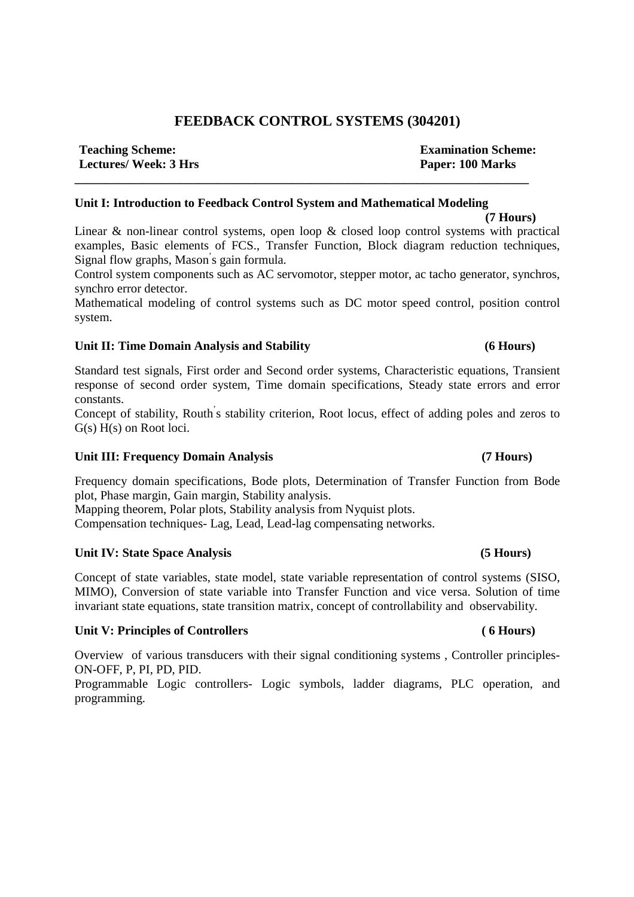# **FEEDBACK CONTROL SYSTEMS (304201)**

**Teaching Scheme: Examination Scheme: Lectures/ Week: 3 Hrs Paper: 100 Marks** 

# **Unit I: Introduction to Feedback Control System and Mathematical Modeling**

**\_\_\_\_\_\_\_\_\_\_\_\_\_\_\_\_\_\_\_\_\_\_\_\_\_\_\_\_\_\_\_\_\_\_\_\_\_\_\_\_\_\_\_\_\_\_\_\_\_\_\_\_\_\_\_\_\_\_\_\_\_\_\_\_\_\_\_\_\_\_\_\_\_** 

 **(7 Hours)**  Linear & non-linear control systems, open loop & closed loop control systems with practical examples, Basic elements of FCS., Transfer Function, Block diagram reduction techniques, Signal flow graphs, Mason' s gain formula.

Control system components such as AC servomotor, stepper motor, ac tacho generator, synchros, synchro error detector.

Mathematical modeling of control systems such as DC motor speed control, position control system.

# **Unit II: Time Domain Analysis and Stability (6 Hours)**

Standard test signals, First order and Second order systems, Characteristic equations, Transient response of second order system, Time domain specifications, Steady state errors and error constants.

Concept of stability, Routh' s stability criterion, Root locus, effect of adding poles and zeros to G(s) H(s) on Root loci.

# **Unit III: Frequency Domain Analysis (7 Hours)**

Frequency domain specifications, Bode plots, Determination of Transfer Function from Bode plot, Phase margin, Gain margin, Stability analysis.

Mapping theorem, Polar plots, Stability analysis from Nyquist plots.

Compensation techniques- Lag, Lead, Lead-lag compensating networks.

# Unit IV: State Space Analysis **(5 Hours)**

Concept of state variables, state model, state variable representation of control systems (SISO, MIMO), Conversion of state variable into Transfer Function and vice versa. Solution of time invariant state equations, state transition matrix, concept of controllability and observability.

# Unit V: Principles of Controllers (6 Hours)

Overview of various transducers with their signal conditioning systems , Controller principles-ON-OFF, P, PI, PD, PID.

Programmable Logic controllers- Logic symbols, ladder diagrams, PLC operation, and programming.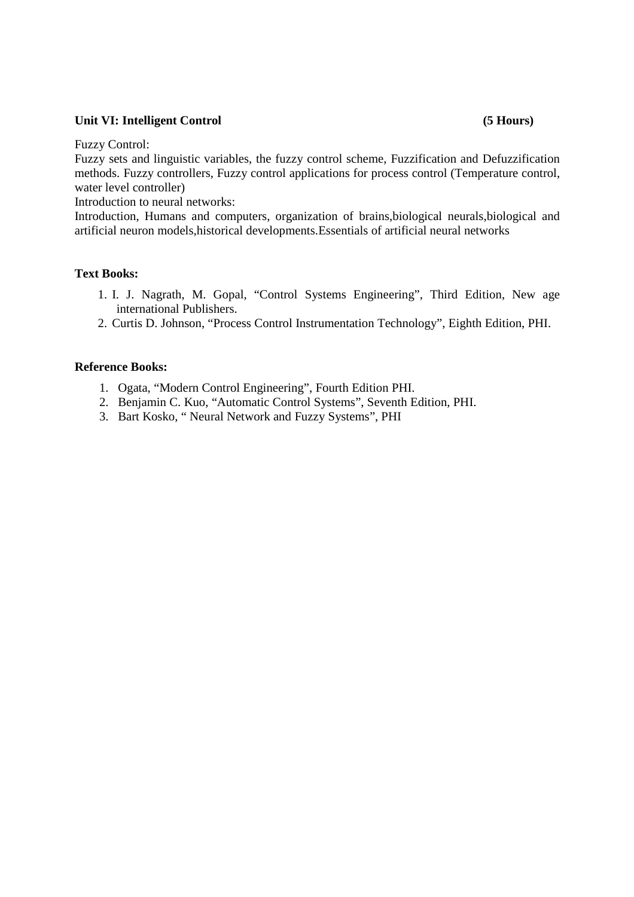# Unit VI: Intelligent Control (5 Hours)

Fuzzy Control:

Fuzzy sets and linguistic variables, the fuzzy control scheme, Fuzzification and Defuzzification methods. Fuzzy controllers, Fuzzy control applications for process control (Temperature control, water level controller)

Introduction to neural networks:

Introduction, Humans and computers, organization of brains,biological neurals,biological and artificial neuron models,historical developments.Essentials of artificial neural networks

# **Text Books:**

- 1. I. J. Nagrath, M. Gopal, "Control Systems Engineering", Third Edition, New age international Publishers.
- 2. Curtis D. Johnson, "Process Control Instrumentation Technology", Eighth Edition, PHI.

## **Reference Books:**

- 1. Ogata, "Modern Control Engineering", Fourth Edition PHI.
- 2. Benjamin C. Kuo, "Automatic Control Systems", Seventh Edition, PHI.
- 3. Bart Kosko, " Neural Network and Fuzzy Systems", PHI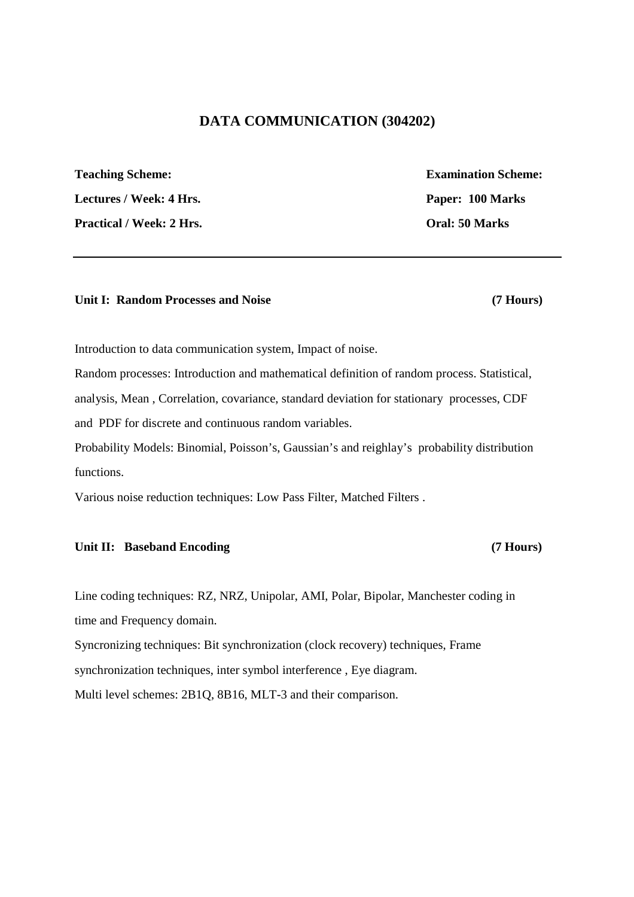# **DATA COMMUNICATION (304202)**

**Teaching Scheme: Examination Scheme:**  Lectures / Week: 4 Hrs. Paper: 100 Marks Practical / Week: 2 Hrs. **Oral: 50 Marks** 

# Unit I: Random Processes and Noise (7 Hours)

Introduction to data communication system, Impact of noise.

Random processes: Introduction and mathematical definition of random process. Statistical, analysis, Mean , Correlation, covariance, standard deviation for stationary processes, CDF and PDF for discrete and continuous random variables.

Probability Models: Binomial, Poisson's, Gaussian's and reighlay's probability distribution functions.

Various noise reduction techniques: Low Pass Filter, Matched Filters .

# Unit II: Baseband Encoding (7 Hours)

Line coding techniques: RZ, NRZ, Unipolar, AMI, Polar, Bipolar, Manchester coding in time and Frequency domain.

Syncronizing techniques: Bit synchronization (clock recovery) techniques, Frame

synchronization techniques, inter symbol interference , Eye diagram.

Multi level schemes: 2B1Q, 8B16, MLT-3 and their comparison.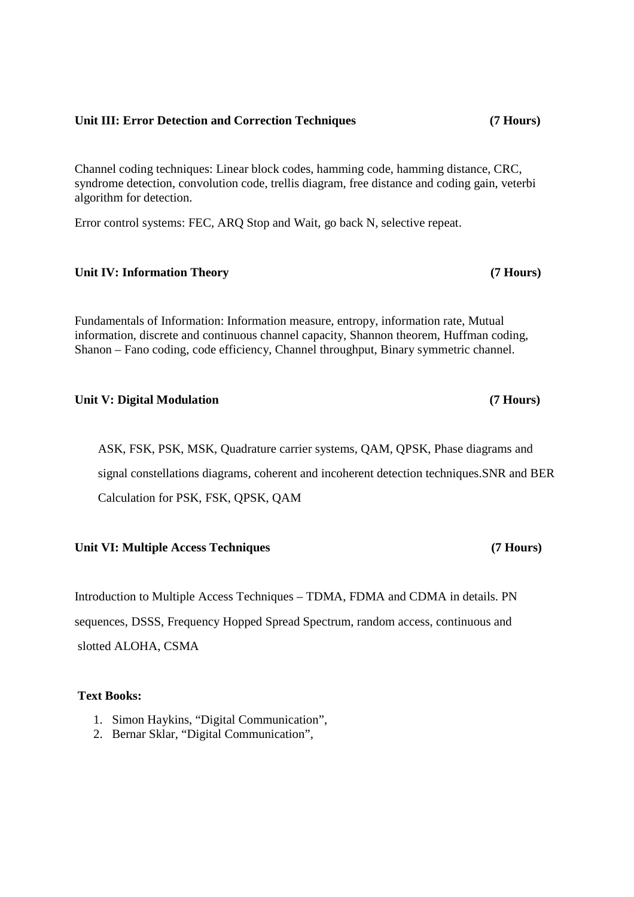## **Unit III: Error Detection and Correction Techniques (7 Hours)**

Channel coding techniques: Linear block codes, hamming code, hamming distance, CRC, syndrome detection, convolution code, trellis diagram, free distance and coding gain, veterbi algorithm for detection.

Error control systems: FEC, ARQ Stop and Wait, go back N, selective repeat.

# **Unit IV: Information Theory (7 Hours)**

Fundamentals of Information: Information measure, entropy, information rate, Mutual information, discrete and continuous channel capacity, Shannon theorem, Huffman coding, Shanon – Fano coding, code efficiency, Channel throughput, Binary symmetric channel.

# Unit V: Digital Modulation **(7 Hours)**

ASK, FSK, PSK, MSK, Quadrature carrier systems, QAM, QPSK, Phase diagrams and signal constellations diagrams, coherent and incoherent detection techniques.SNR and BER Calculation for PSK, FSK, QPSK, QAM

## **Unit VI: Multiple Access Techniques (7 Hours)**

Introduction to Multiple Access Techniques – TDMA, FDMA and CDMA in details. PN sequences, DSSS, Frequency Hopped Spread Spectrum, random access, continuous and slotted ALOHA, CSMA

# **Text Books:**

- 1. Simon Haykins, "Digital Communication",
- 2. Bernar Sklar, "Digital Communication",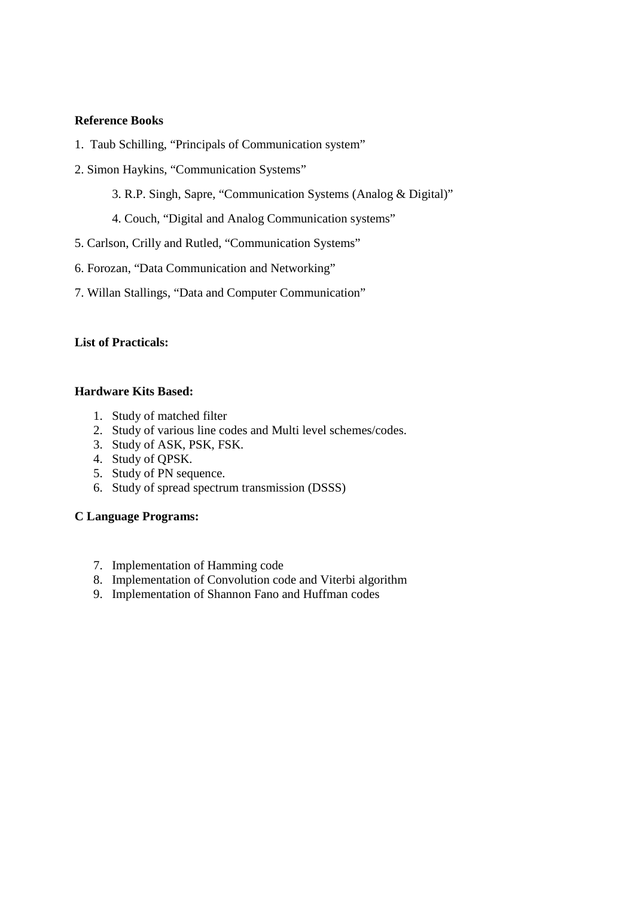# **Reference Books**

- 1. Taub Schilling, "Principals of Communication system"
- 2. Simon Haykins, "Communication Systems"
	- 3. R.P. Singh, Sapre, "Communication Systems (Analog & Digital)"
	- 4. Couch, "Digital and Analog Communication systems"
- 5. Carlson, Crilly and Rutled, "Communication Systems"
- 6. Forozan, "Data Communication and Networking"
- 7. Willan Stallings, "Data and Computer Communication"

# **List of Practicals:**

# **Hardware Kits Based:**

- 1. Study of matched filter
- 2. Study of various line codes and Multi level schemes/codes.
- 3. Study of ASK, PSK, FSK.
- 4. Study of QPSK.
- 5. Study of PN sequence.
- 6. Study of spread spectrum transmission (DSSS)

# **C Language Programs:**

- 7. Implementation of Hamming code
- 8. Implementation of Convolution code and Viterbi algorithm
- 9. Implementation of Shannon Fano and Huffman codes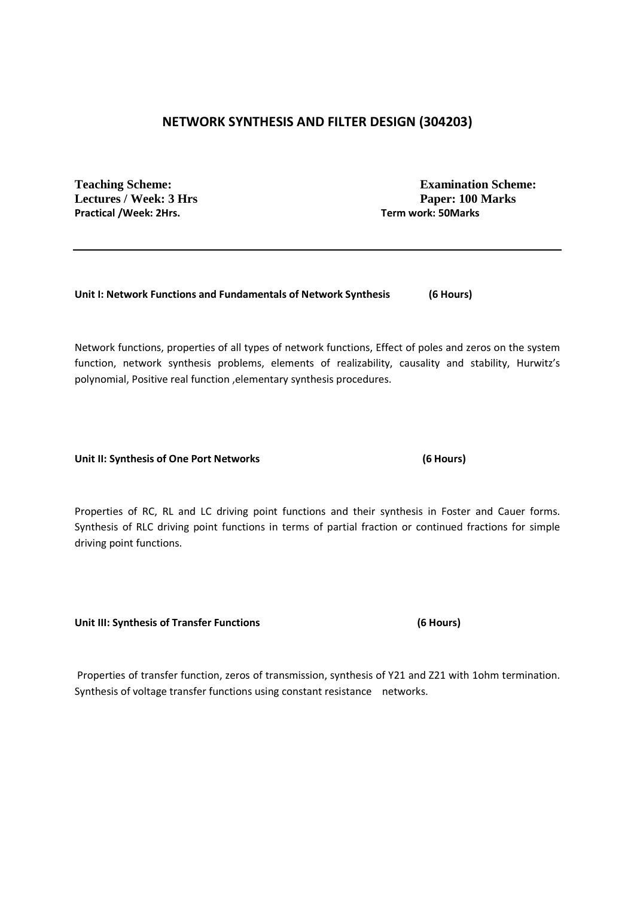# **NETWORK SYNTHESIS AND FILTER DESIGN (304203)**

Lectures / Week: 3 Hrs **Paper: 100 Marks Practical /Week: 2Hrs. Term work: 50Marks** 

**Teaching Scheme: Examination Scheme:** 

**Unit I: Network Functions and Fundamentals of Network Synthesis (6 Hours)** 

Network functions, properties of all types of network functions, Effect of poles and zeros on the system function, network synthesis problems, elements of realizability, causality and stability, Hurwitz's polynomial, Positive real function ,elementary synthesis procedures.

Unit II: Synthesis of One Port Networks (6 Hours)

Properties of RC, RL and LC driving point functions and their synthesis in Foster and Cauer forms. Synthesis of RLC driving point functions in terms of partial fraction or continued fractions for simple driving point functions.

**Unit III: Synthesis of Transfer Functions (6 Hours)** 

 Properties of transfer function, zeros of transmission, synthesis of Y21 and Z21 with 1ohm termination. Synthesis of voltage transfer functions using constant resistance networks.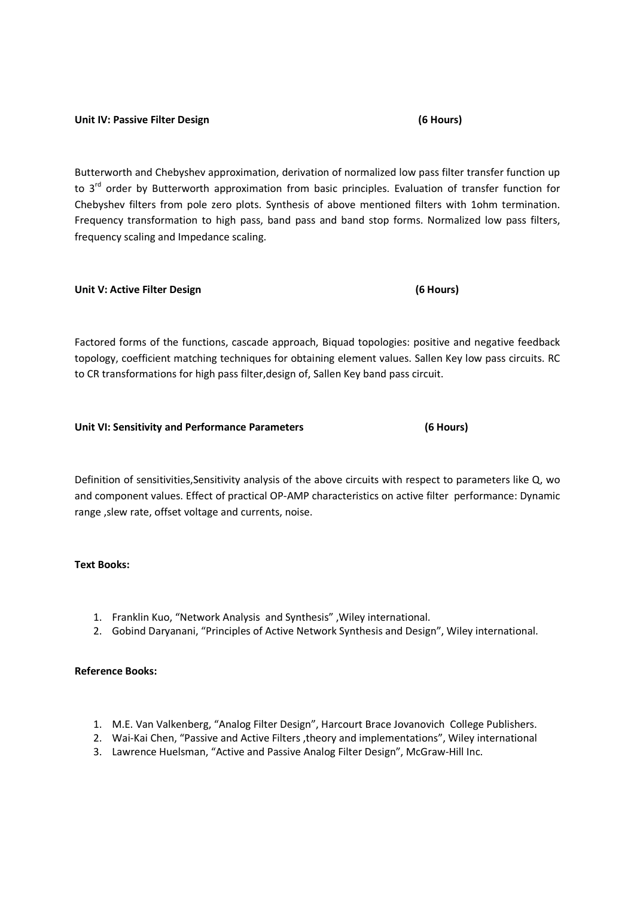# Unit IV: Passive Filter Design **Manual Company** (6 Hours)

Butterworth and Chebyshev approximation, derivation of normalized low pass filter transfer function up to 3<sup>rd</sup> order by Butterworth approximation from basic principles. Evaluation of transfer function for Chebyshev filters from pole zero plots. Synthesis of above mentioned filters with 1ohm termination. Frequency transformation to high pass, band pass and band stop forms. Normalized low pass filters, frequency scaling and Impedance scaling.

#### **Unit V: Active Filter Design (6 Hours)**

Factored forms of the functions, cascade approach, Biquad topologies: positive and negative feedback topology, coefficient matching techniques for obtaining element values. Sallen Key low pass circuits. RC to CR transformations for high pass filter,design of, Sallen Key band pass circuit.

#### **Unit VI: Sensitivity and Performance Parameters (6 Hours)**

Definition of sensitivities,Sensitivity analysis of the above circuits with respect to parameters like Q, wo and component values. Effect of practical OP-AMP characteristics on active filter performance: Dynamic range ,slew rate, offset voltage and currents, noise.

## **Text Books:**

- 1. Franklin Kuo, "Network Analysis and Synthesis" ,Wiley international.
- 2. Gobind Daryanani, "Principles of Active Network Synthesis and Design", Wiley international.

# **Reference Books:**

- 1. M.E. Van Valkenberg, "Analog Filter Design", Harcourt Brace Jovanovich College Publishers.
- 2. Wai-Kai Chen, "Passive and Active Filters ,theory and implementations", Wiley international
- 3. Lawrence Huelsman, "Active and Passive Analog Filter Design", McGraw-Hill Inc.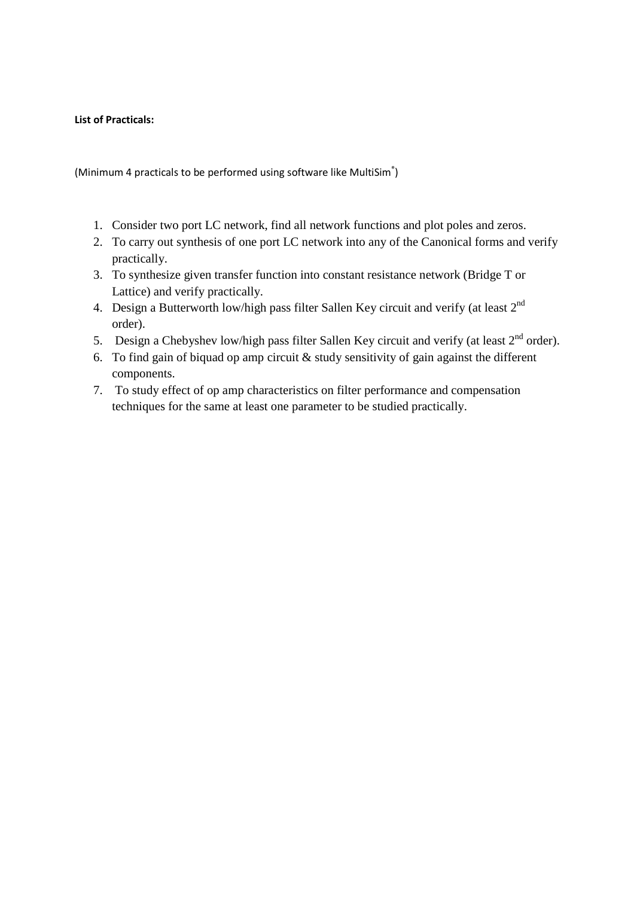# **List of Practicals:**

(Minimum 4 practicals to be performed using software like MultiSim®)

- 1. Consider two port LC network, find all network functions and plot poles and zeros.
- 2. To carry out synthesis of one port LC network into any of the Canonical forms and verify practically.
- 3. To synthesize given transfer function into constant resistance network (Bridge T or Lattice) and verify practically.
- 4. Design a Butterworth low/high pass filter Sallen Key circuit and verify (at least 2<sup>nd</sup>) order).
- 5. Design a Chebyshev low/high pass filter Sallen Key circuit and verify (at least  $2<sup>nd</sup>$  order).
- 6. To find gain of biquad op amp circuit  $\&$  study sensitivity of gain against the different components.
- 7. To study effect of op amp characteristics on filter performance and compensation techniques for the same at least one parameter to be studied practically.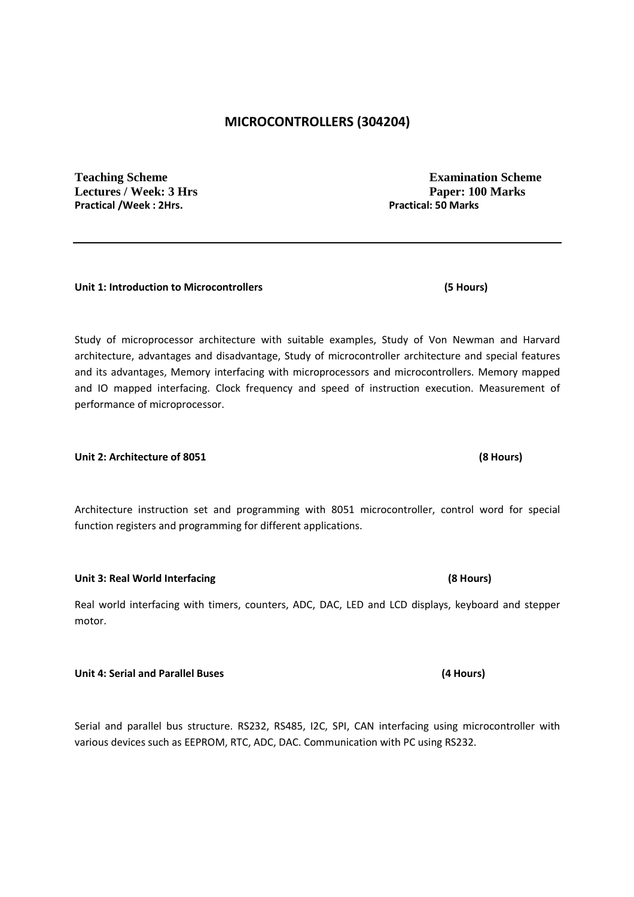# **MICROCONTROLLERS (304204)**

**Teaching Scheme Examination Scheme Lectures / Week: 3 Hrs Paper: 100 Marks**  Practical /Week : 2Hrs. **Practical: 50 Marks Practical: 50 Marks** 

## **Unit 1: Introduction to Microcontrollers (5 Hours)**

Study of microprocessor architecture with suitable examples, Study of Von Newman and Harvard architecture, advantages and disadvantage, Study of microcontroller architecture and special features and its advantages, Memory interfacing with microprocessors and microcontrollers. Memory mapped and IO mapped interfacing. Clock frequency and speed of instruction execution. Measurement of performance of microprocessor.

## **Unit 2: Architecture of 8051 (8 Hours)**

Architecture instruction set and programming with 8051 microcontroller, control word for special function registers and programming for different applications.

Real world interfacing with timers, counters, ADC, DAC, LED and LCD displays, keyboard and stepper motor.

# **Unit 4: Serial and Parallel Buses (4 Hours)**

Serial and parallel bus structure. RS232, RS485, I2C, SPI, CAN interfacing using microcontroller with various devices such as EEPROM, RTC, ADC, DAC. Communication with PC using RS232.

**Unit 3: Real World Interfacing (8 Hours)**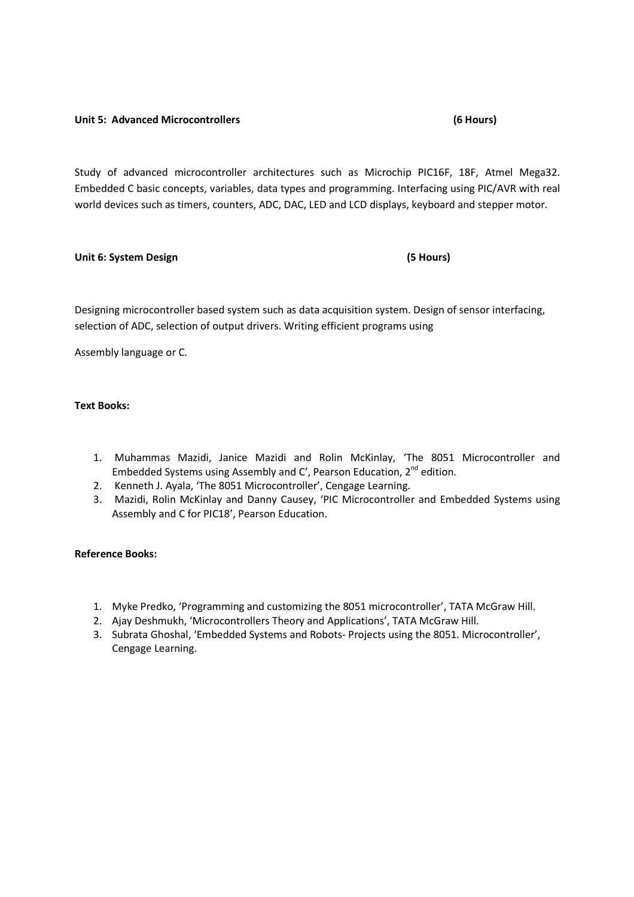### **Unit 5: Advanced Microcontrollers (6 Hours)**

Study of advanced microcontroller architectures such as Microchip PIC16F, 18F, Atmel Mega32. Embedded C basic concepts, variables, data types and programming. Interfacing using PIC/AVR with real world devices such as timers, counters, ADC, DAC, LED and LCD displays, keyboard and stepper motor.

### **Unit 6: System Design (5 Hours)**

# Designing microcontroller based system such as data acquisition system. Design of sensor interfacing, selection of ADC, selection of output drivers. Writing efficient programs using

Assembly language or C.

## **Text Books:**

- 1. Muhammas Mazidi, Janice Mazidi and Rolin McKinlay, 'The 8051 Microcontroller and Embedded Systems using Assembly and C', Pearson Education,  $2^{nd}$  edition.
- 2. Kenneth J. Ayala, 'The 8051 Microcontroller', Cengage Learning.
- 3. Mazidi, Rolin McKinlay and Danny Causey, 'PIC Microcontroller and Embedded Systems using Assembly and C for PIC18', Pearson Education.

## **Reference Books:**

- 1. Myke Predko, 'Programming and customizing the 8051 microcontroller', TATA McGraw Hill.
- 2. Ajay Deshmukh, 'Microcontrollers Theory and Applications', TATA McGraw Hill.
- 3. Subrata Ghoshal, 'Embedded Systems and Robots- Projects using the 8051. Microcontroller', Cengage Learning.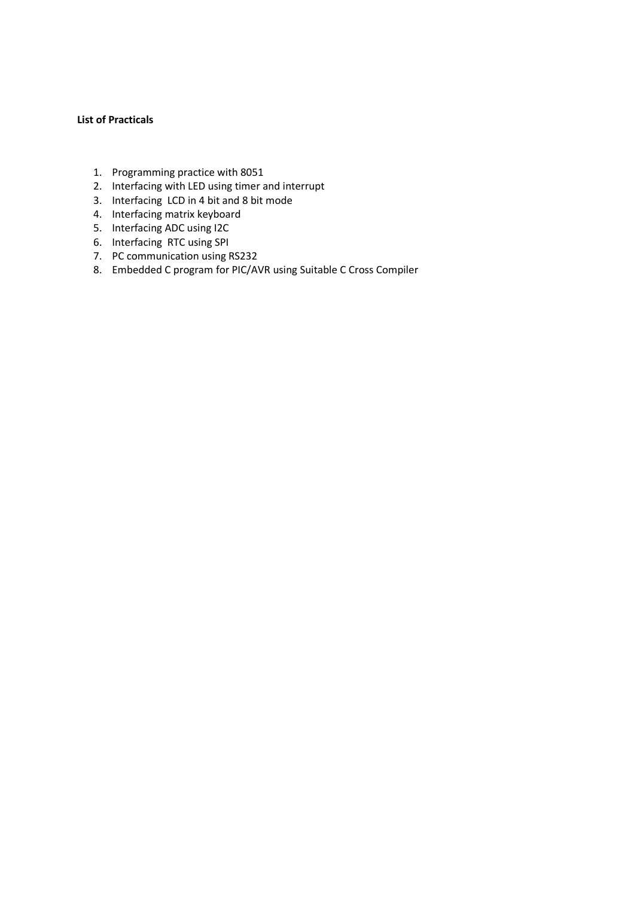### **List of Practicals**

- 1. Programming practice with 8051
- 2. Interfacing with LED using timer and interrupt
- 3. Interfacing LCD in 4 bit and 8 bit mode
- 4. Interfacing matrix keyboard
- 5. Interfacing ADC using I2C
- 6. Interfacing RTC using SPI
- 7. PC communication using RS232
- 8. Embedded C program for PIC/AVR using Suitable C Cross Compiler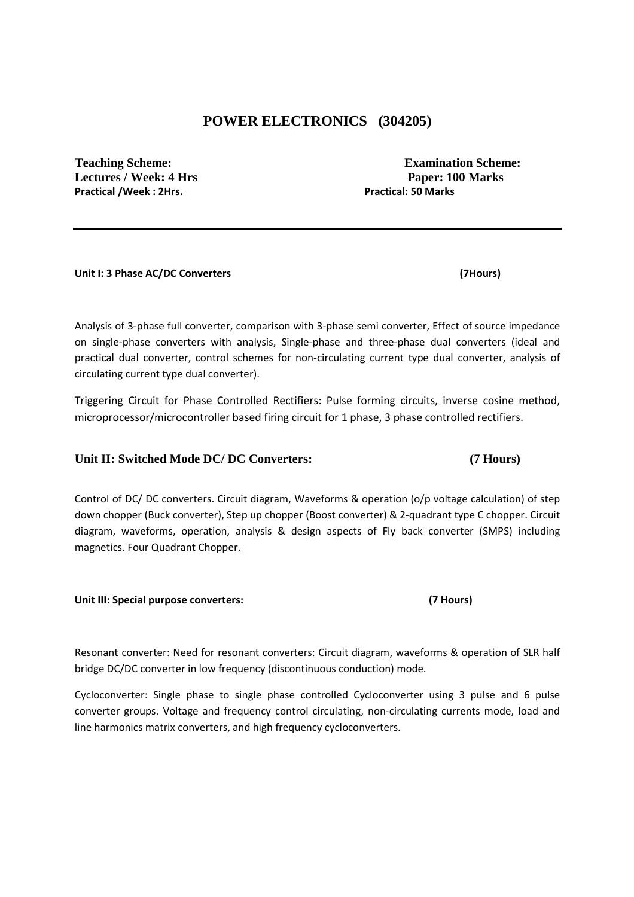# **POWER ELECTRONICS (304205)**

**Practical /Week : 2Hrs. Practical: 50 Marks** 

**Teaching Scheme: Examination Scheme: Lectures / Week: 4 Hrs Paper: 100 Marks** 

#### **Unit I: 3 Phase AC/DC Converters (7Hours)**

Analysis of 3-phase full converter, comparison with 3-phase semi converter, Effect of source impedance on single-phase converters with analysis, Single-phase and three-phase dual converters (ideal and practical dual converter, control schemes for non-circulating current type dual converter, analysis of circulating current type dual converter).

Triggering Circuit for Phase Controlled Rectifiers: Pulse forming circuits, inverse cosine method, microprocessor/microcontroller based firing circuit for 1 phase, 3 phase controlled rectifiers.

## Unit II: Switched Mode DC/ DC Converters: (7 Hours)

Control of DC/ DC converters. Circuit diagram, Waveforms & operation (o/p voltage calculation) of step down chopper (Buck converter), Step up chopper (Boost converter) & 2-quadrant type C chopper. Circuit diagram, waveforms, operation, analysis & design aspects of Fly back converter (SMPS) including magnetics. Four Quadrant Chopper.

## **Unit III: Special purpose converters: (7 Hours)**

Resonant converter: Need for resonant converters: Circuit diagram, waveforms & operation of SLR half bridge DC/DC converter in low frequency (discontinuous conduction) mode.

Cycloconverter: Single phase to single phase controlled Cycloconverter using 3 pulse and 6 pulse converter groups. Voltage and frequency control circulating, non-circulating currents mode, load and line harmonics matrix converters, and high frequency cycloconverters.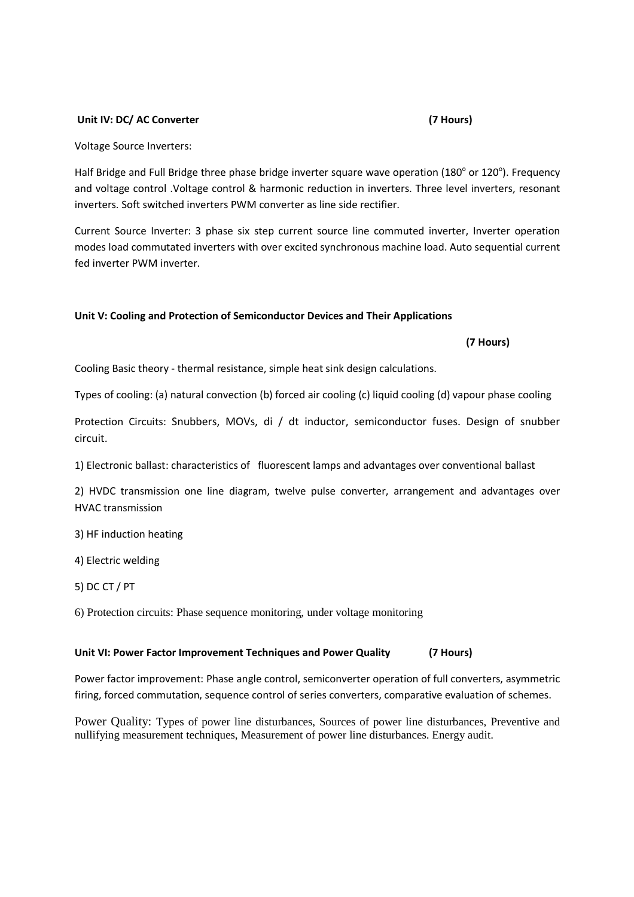#### Unit IV: DC/ AC Converter (7 Hours)

Voltage Source Inverters:

Half Bridge and Full Bridge three phase bridge inverter square wave operation (180° or 120°). Frequency and voltage control .Voltage control & harmonic reduction in inverters. Three level inverters, resonant inverters. Soft switched inverters PWM converter as line side rectifier.

Current Source Inverter: 3 phase six step current source line commuted inverter, Inverter operation modes load commutated inverters with over excited synchronous machine load. Auto sequential current fed inverter PWM inverter.

## **Unit V: Cooling and Protection of Semiconductor Devices and Their Applications**

#### **(7 Hours)**

Cooling Basic theory - thermal resistance, simple heat sink design calculations.

Types of cooling: (a) natural convection (b) forced air cooling (c) liquid cooling (d) vapour phase cooling

Protection Circuits: Snubbers, MOVs, di / dt inductor, semiconductor fuses. Design of snubber circuit.

1) Electronic ballast: characteristics of fluorescent lamps and advantages over conventional ballast

2) HVDC transmission one line diagram, twelve pulse converter, arrangement and advantages over HVAC transmission

3) HF induction heating

4) Electric welding

5) DC CT / PT

6) Protection circuits: Phase sequence monitoring, under voltage monitoring

## **Unit VI: Power Factor Improvement Techniques and Power Quality (7 Hours)**

Power factor improvement: Phase angle control, semiconverter operation of full converters, asymmetric firing, forced commutation, sequence control of series converters, comparative evaluation of schemes.

Power Quality: Types of power line disturbances, Sources of power line disturbances, Preventive and nullifying measurement techniques, Measurement of power line disturbances. Energy audit.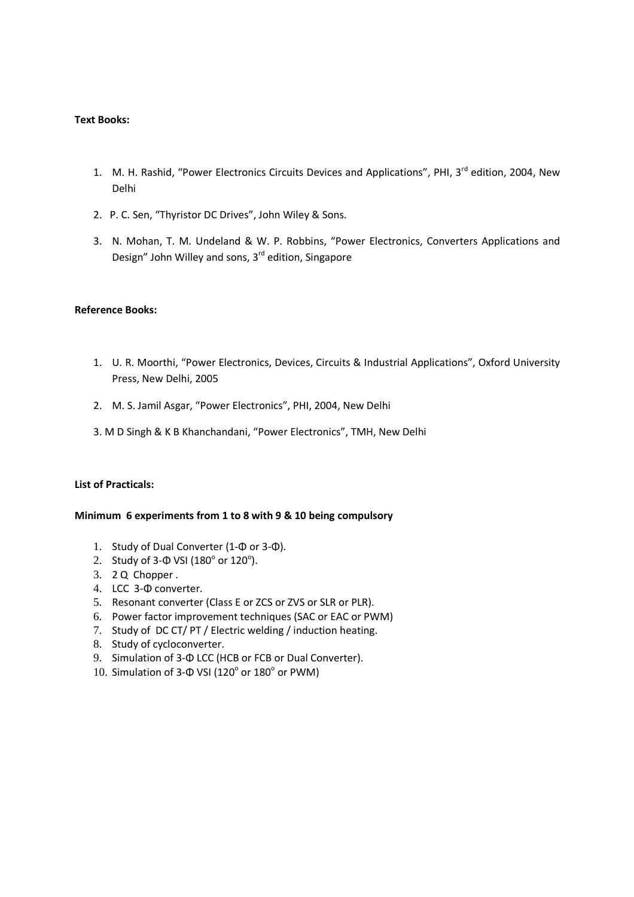### **Text Books:**

- 1. M. H. Rashid, "Power Electronics Circuits Devices and Applications", PHI, 3<sup>rd</sup> edition, 2004, New Delhi
- 2. P. C. Sen, "Thyristor DC Drives", John Wiley & Sons.
- 3. N. Mohan, T. M. Undeland & W. P. Robbins, "Power Electronics, Converters Applications and Design" John Willey and sons, 3<sup>rd</sup> edition, Singapore

### **Reference Books:**

- 1. U. R. Moorthi, "Power Electronics, Devices, Circuits & Industrial Applications", Oxford University Press, New Delhi, 2005
- 2. M. S. Jamil Asgar, "Power Electronics", PHI, 2004, New Delhi
- 3. M D Singh & K B Khanchandani, "Power Electronics", TMH, New Delhi

## **List of Practicals:**

#### **Minimum 6 experiments from 1 to 8 with 9 & 10 being compulsory**

- 1. Study of Dual Converter (1-Φ or 3-Φ).
- 2. Study of 3- $\Phi$  VSI (180 $^{\circ}$  or 120 $^{\circ}$ ).
- 3. 2 Q Chopper .
- 4. LCC 3-Φ converter.
- 5. Resonant converter (Class E or ZCS or ZVS or SLR or PLR).
- 6. Power factor improvement techniques (SAC or EAC or PWM)
- 7. Study of DC CT/ PT / Electric welding / induction heating.
- 8. Study of cycloconverter.
- 9. Simulation of 3-Φ LCC (HCB or FCB or Dual Converter).
- 10. Simulation of 3-Φ VSI ( $120^\circ$  or  $180^\circ$  or PWM)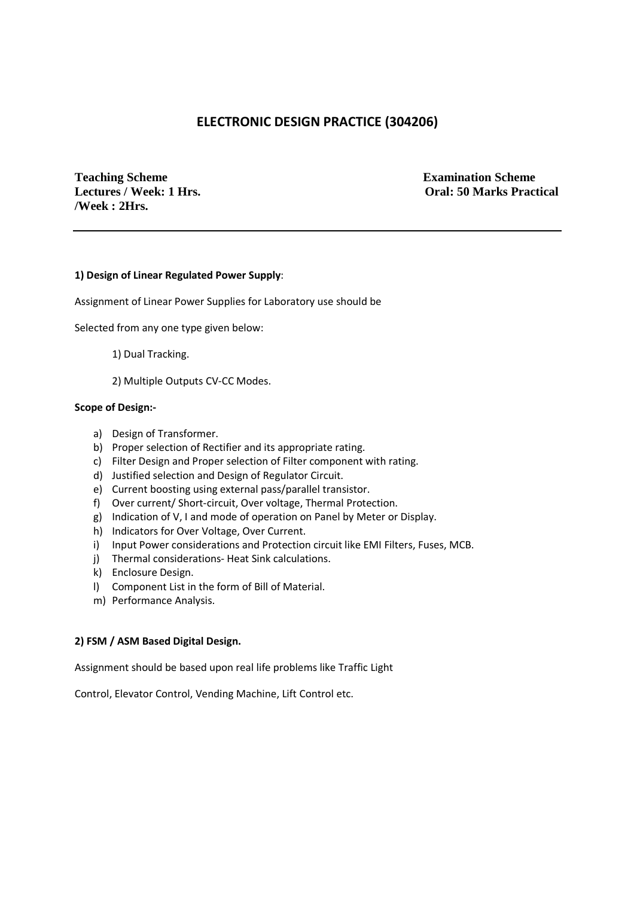# **ELECTRONIC DESIGN PRACTICE (304206)**

**Teaching Scheme Examination Scheme /Week : 2Hrs.** 

**Lectures / Week: 1 Hrs. Oral: 50 Marks Practical** 

### **1) Design of Linear Regulated Power Supply**:

Assignment of Linear Power Supplies for Laboratory use should be

Selected from any one type given below:

- 1) Dual Tracking.
- 2) Multiple Outputs CV-CC Modes.

#### **Scope of Design:-**

- a) Design of Transformer.
- b) Proper selection of Rectifier and its appropriate rating.
- c) Filter Design and Proper selection of Filter component with rating.
- d) Justified selection and Design of Regulator Circuit.
- e) Current boosting using external pass/parallel transistor.
- f) Over current/ Short-circuit, Over voltage, Thermal Protection.
- g) Indication of V, I and mode of operation on Panel by Meter or Display.
- h) Indicators for Over Voltage, Over Current.
- i) Input Power considerations and Protection circuit like EMI Filters, Fuses, MCB.
- j) Thermal considerations- Heat Sink calculations.
- k) Enclosure Design.
- l) Component List in the form of Bill of Material.
- m) Performance Analysis.

#### **2) FSM / ASM Based Digital Design.**

Assignment should be based upon real life problems like Traffic Light

Control, Elevator Control, Vending Machine, Lift Control etc.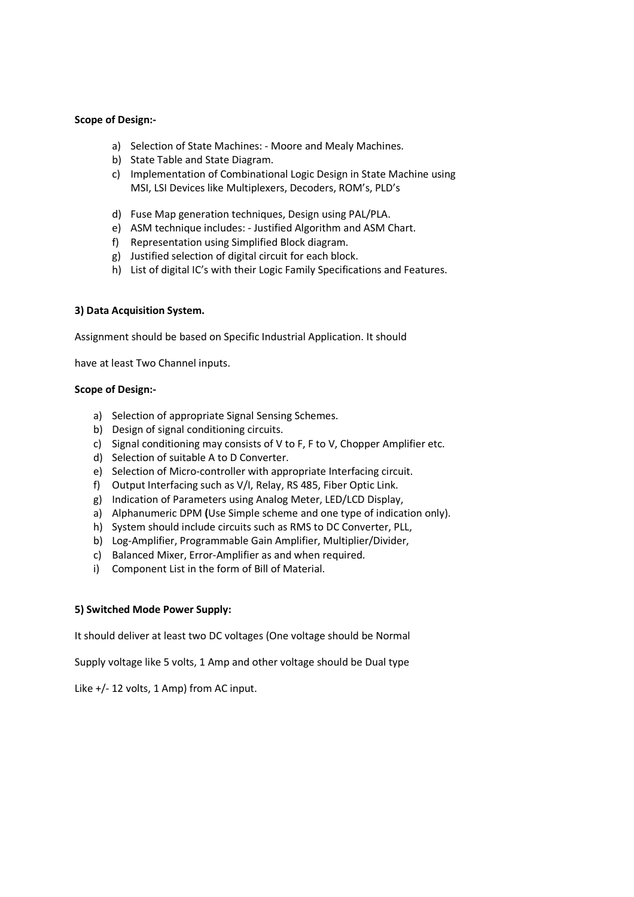#### **Scope of Design:-**

- a) Selection of State Machines: Moore and Mealy Machines.
- b) State Table and State Diagram.
- c) Implementation of Combinational Logic Design in State Machine using MSI, LSI Devices like Multiplexers, Decoders, ROM's, PLD's
- d) Fuse Map generation techniques, Design using PAL/PLA.
- e) ASM technique includes: Justified Algorithm and ASM Chart.
- f) Representation using Simplified Block diagram.
- g) Justified selection of digital circuit for each block.
- h) List of digital IC's with their Logic Family Specifications and Features.

### **3) Data Acquisition System.**

Assignment should be based on Specific Industrial Application. It should

have at least Two Channel inputs.

#### **Scope of Design:-**

- a) Selection of appropriate Signal Sensing Schemes.
- b) Design of signal conditioning circuits.
- c) Signal conditioning may consists of V to F, F to V, Chopper Amplifier etc.
- d) Selection of suitable A to D Converter.
- e) Selection of Micro-controller with appropriate Interfacing circuit.
- f) Output Interfacing such as V/I, Relay, RS 485, Fiber Optic Link.
- g) Indication of Parameters using Analog Meter, LED/LCD Display,
- a) Alphanumeric DPM **(**Use Simple scheme and one type of indication only).
- h) System should include circuits such as RMS to DC Converter, PLL,
- b) Log-Amplifier, Programmable Gain Amplifier, Multiplier/Divider,
- c) Balanced Mixer, Error-Amplifier as and when required.
- i) Component List in the form of Bill of Material.

#### **5) Switched Mode Power Supply:**

It should deliver at least two DC voltages (One voltage should be Normal

Supply voltage like 5 volts, 1 Amp and other voltage should be Dual type

Like  $+/- 12$  volts, 1 Amp) from AC input.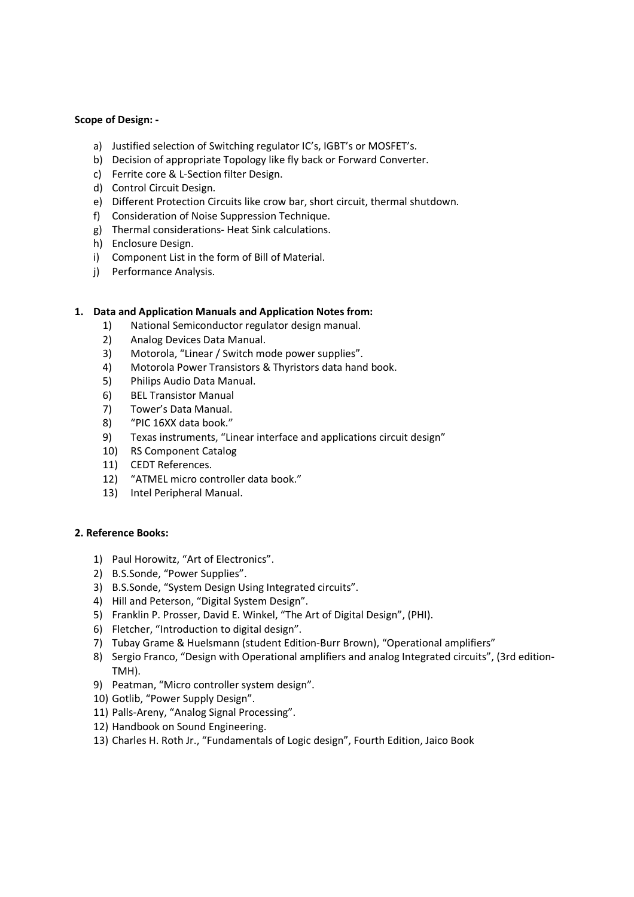### **Scope of Design: -**

- a) Justified selection of Switching regulator IC's, IGBT's or MOSFET's.
- b) Decision of appropriate Topology like fly back or Forward Converter.
- c) Ferrite core & L-Section filter Design.
- d) Control Circuit Design.
- e) Different Protection Circuits like crow bar, short circuit, thermal shutdown.
- f) Consideration of Noise Suppression Technique.
- g) Thermal considerations- Heat Sink calculations.
- h) Enclosure Design.
- i) Component List in the form of Bill of Material.
- j) Performance Analysis.

#### **1. Data and Application Manuals and Application Notes from:**

- 1) National Semiconductor regulator design manual.
- 2) Analog Devices Data Manual.
- 3) Motorola, "Linear / Switch mode power supplies".
- 4) Motorola Power Transistors & Thyristors data hand book.
- 5) Philips Audio Data Manual.
- 6) BEL Transistor Manual
- 7) Tower's Data Manual.
- 8) "PIC 16XX data book."
- 9) Texas instruments, "Linear interface and applications circuit design"
- 10) RS Component Catalog
- 11) CEDT References.
- 12) "ATMEL micro controller data book."
- 13) Intel Peripheral Manual.

## **2. Reference Books:**

- 1) Paul Horowitz, "Art of Electronics".
- 2) B.S.Sonde, "Power Supplies".
- 3) B.S.Sonde, "System Design Using Integrated circuits".
- 4) Hill and Peterson, "Digital System Design".
- 5) Franklin P. Prosser, David E. Winkel, "The Art of Digital Design", (PHI).
- 6) Fletcher, "Introduction to digital design".
- 7) Tubay Grame & Huelsmann (student Edition-Burr Brown), "Operational amplifiers"
- 8) Sergio Franco, "Design with Operational amplifiers and analog Integrated circuits", (3rd edition-TMH).
- 9) Peatman, "Micro controller system design".
- 10) Gotlib, "Power Supply Design".
- 11) Palls-Areny, "Analog Signal Processing".
- 12) Handbook on Sound Engineering.
- 13) Charles H. Roth Jr., "Fundamentals of Logic design", Fourth Edition, Jaico Book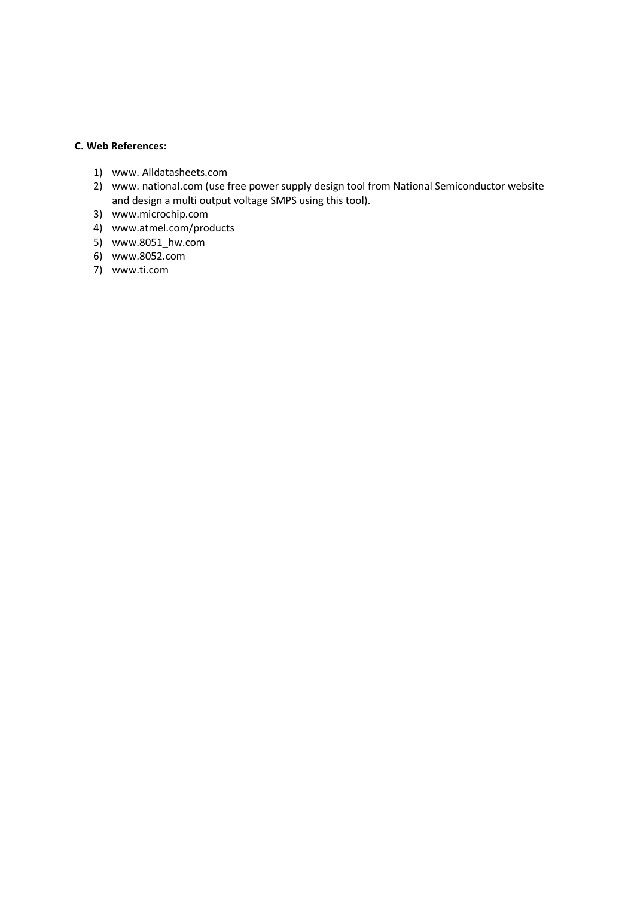# **C. Web References:**

- 1) www. Alldatasheets.com
- 2) www. national.com (use free power supply design tool from National Semiconductor website and design a multi output voltage SMPS using this tool).
- 3) www.microchip.com
- 4) www.atmel.com/products
- 5) www.8051\_hw.com
- 6) www.8052.com
- 7) www.ti.com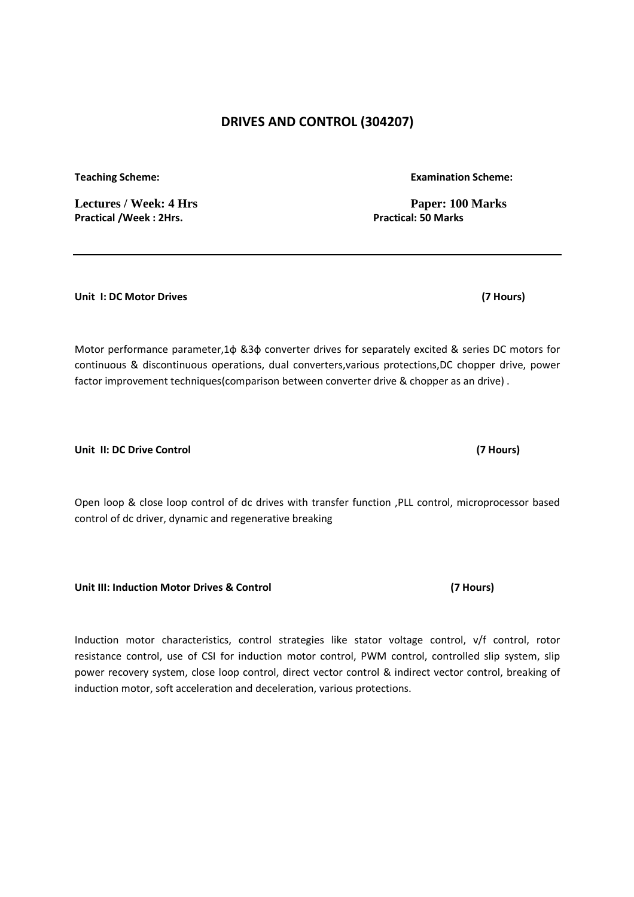# **DRIVES AND CONTROL (304207)**

**Teaching Scheme: Examination Scheme:** 

**Practical /Week : 2Hrs.** 

**Unit I: DC Motor Drives (7 Hours)** 

Motor performance parameter,1ф &3ф converter drives for separately excited & series DC motors for continuous & discontinuous operations, dual converters,various protections,DC chopper drive, power factor improvement techniques(comparison between converter drive & chopper as an drive) .

**Unit II: DC Drive Control (7 Hours)** 

Open loop & close loop control of dc drives with transfer function ,PLL control, microprocessor based control of dc driver, dynamic and regenerative breaking

**Unit III: Induction Motor Drives & Control (7 Hours)** 

Induction motor characteristics, control strategies like stator voltage control, v/f control, rotor resistance control, use of CSI for induction motor control, PWM control, controlled slip system, slip power recovery system, close loop control, direct vector control & indirect vector control, breaking of induction motor, soft acceleration and deceleration, various protections.

Lectures / Week: 4 Hrs **Paper: 100 Marks**<br>Practical /Week: 2Hrs. **Practical /Week: 2Hrs.** Practical: 50 Marks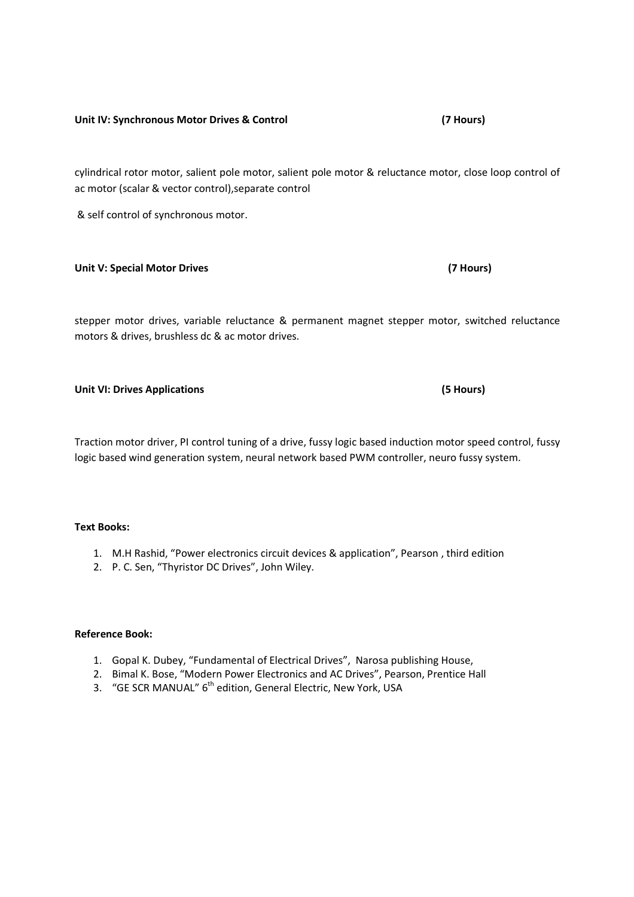#### **Unit IV: Synchronous Motor Drives & Control (7 Hours)**

cylindrical rotor motor, salient pole motor, salient pole motor & reluctance motor, close loop control of ac motor (scalar & vector control),separate control

& self control of synchronous motor.

#### **Unit V: Special Motor Drives (7 Hours)**

stepper motor drives, variable reluctance & permanent magnet stepper motor, switched reluctance motors & drives, brushless dc & ac motor drives.

### **Unit VI: Drives Applications (5 Hours)**

Traction motor driver, PI control tuning of a drive, fussy logic based induction motor speed control, fussy logic based wind generation system, neural network based PWM controller, neuro fussy system.

#### **Text Books:**

- 1. M.H Rashid, "Power electronics circuit devices & application", Pearson , third edition
- 2. P. C. Sen, "Thyristor DC Drives", John Wiley.

#### **Reference Book:**

- 1. Gopal K. Dubey, "Fundamental of Electrical Drives", Narosa publishing House,
- 2. Bimal K. Bose, "Modern Power Electronics and AC Drives", Pearson, Prentice Hall
- 3. "GE SCR MANUAL" 6<sup>th</sup> edition, General Electric, New York, USA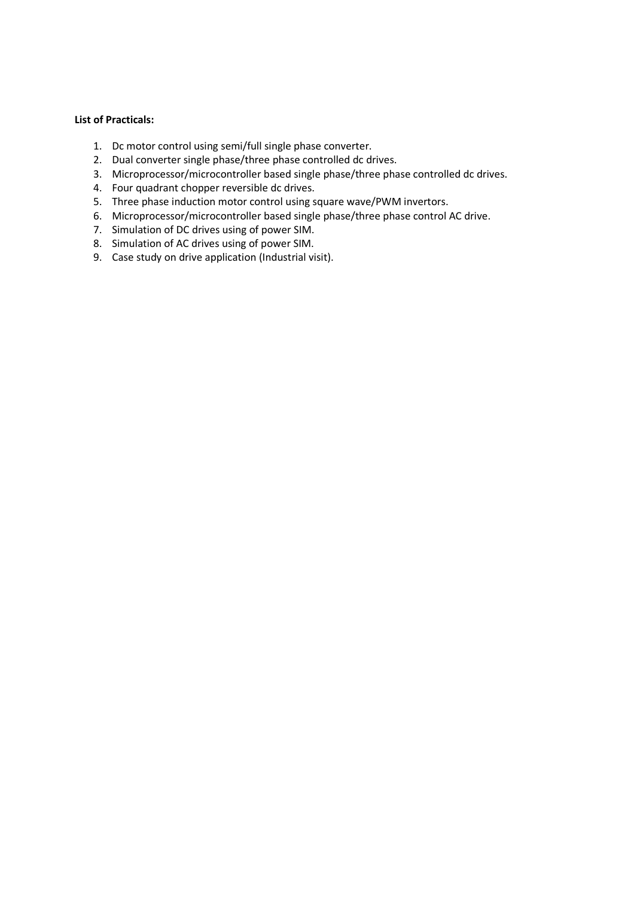## **List of Practicals:**

- 1. Dc motor control using semi/full single phase converter.
- 2. Dual converter single phase/three phase controlled dc drives.
- 3. Microprocessor/microcontroller based single phase/three phase controlled dc drives.
- 4. Four quadrant chopper reversible dc drives.
- 5. Three phase induction motor control using square wave/PWM invertors.
- 6. Microprocessor/microcontroller based single phase/three phase control AC drive.
- 7. Simulation of DC drives using of power SIM.
- 8. Simulation of AC drives using of power SIM.
- 9. Case study on drive application (Industrial visit).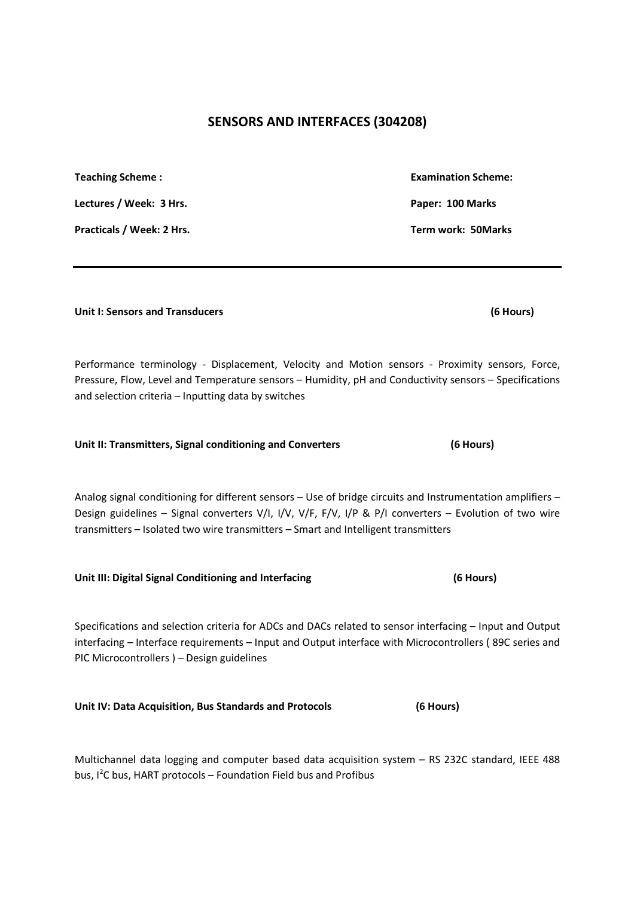# **SENSORS AND INTERFACES (304208)**

## **Unit I: Sensors and Transducers (6 Hours)**

Performance terminology - Displacement, Velocity and Motion sensors - Proximity sensors, Force, Pressure, Flow, Level and Temperature sensors – Humidity, pH and Conductivity sensors – Specifications and selection criteria – Inputting data by switches

| Unit II: Transmitters, Signal conditioning and Converters |  | (6 Hours) |
|-----------------------------------------------------------|--|-----------|
|                                                           |  |           |

Analog signal conditioning for different sensors – Use of bridge circuits and Instrumentation amplifiers – Design guidelines – Signal converters V/I, I/V, V/F, F/V, I/P & P/I converters – Evolution of two wire transmitters – Isolated two wire transmitters – Smart and Intelligent transmitters

**Unit III: Digital Signal Conditioning and Interfacing (6 Hours)** 

Specifications and selection criteria for ADCs and DACs related to sensor interfacing – Input and Output interfacing – Interface requirements – Input and Output interface with Microcontrollers ( 89C series and PIC Microcontrollers ) – Design guidelines

**Unit IV: Data Acquisition, Bus Standards and Protocols (6 Hours)** 

Multichannel data logging and computer based data acquisition system – RS 232C standard, IEEE 488 bus, I<sup>2</sup>C bus, HART protocols – Foundation Field bus and Profibus

**Teaching Scheme : Examination Scheme: Examination Scheme: Examination Scheme:** Lectures / Week: 3 Hrs. **Paper: 100 Marks Paper: 100 Marks Paper: 100 Marks Practicals / Week: 2 Hrs. Term work: 50Marks**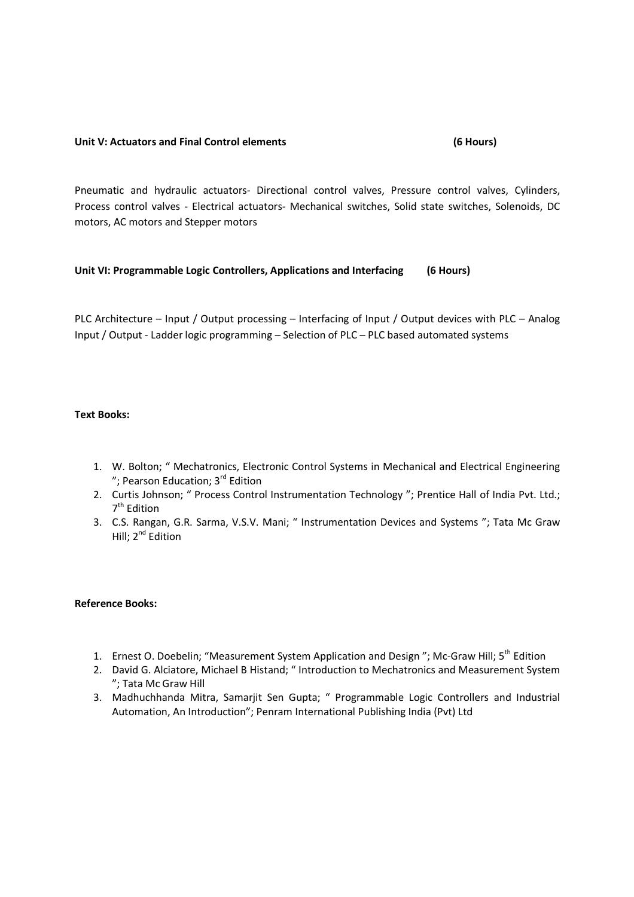#### **Unit V: Actuators and Final Control elements (6 Hours)**

Pneumatic and hydraulic actuators- Directional control valves, Pressure control valves, Cylinders, Process control valves - Electrical actuators- Mechanical switches, Solid state switches, Solenoids, DC motors, AC motors and Stepper motors

## **Unit VI: Programmable Logic Controllers, Applications and Interfacing (6 Hours)**

PLC Architecture – Input / Output processing – Interfacing of Input / Output devices with PLC – Analog Input / Output - Ladder logic programming – Selection of PLC – PLC based automated systems

## **Text Books:**

- 1. W. Bolton; " Mechatronics, Electronic Control Systems in Mechanical and Electrical Engineering "; Pearson Education; 3<sup>rd</sup> Edition
- 2. Curtis Johnson; " Process Control Instrumentation Technology "; Prentice Hall of India Pvt. Ltd.; 7<sup>th</sup> Edition
- 3. C.S. Rangan, G.R. Sarma, V.S.V. Mani; " Instrumentation Devices and Systems "; Tata Mc Graw Hill; 2<sup>nd</sup> Edition

#### **Reference Books:**

- 1. Ernest O. Doebelin; "Measurement System Application and Design"; Mc-Graw Hill; 5<sup>th</sup> Edition
- 2. David G. Alciatore, Michael B Histand; " Introduction to Mechatronics and Measurement System "; Tata Mc Graw Hill
- 3. Madhuchhanda Mitra, Samarjit Sen Gupta; " Programmable Logic Controllers and Industrial Automation, An Introduction"; Penram International Publishing India (Pvt) Ltd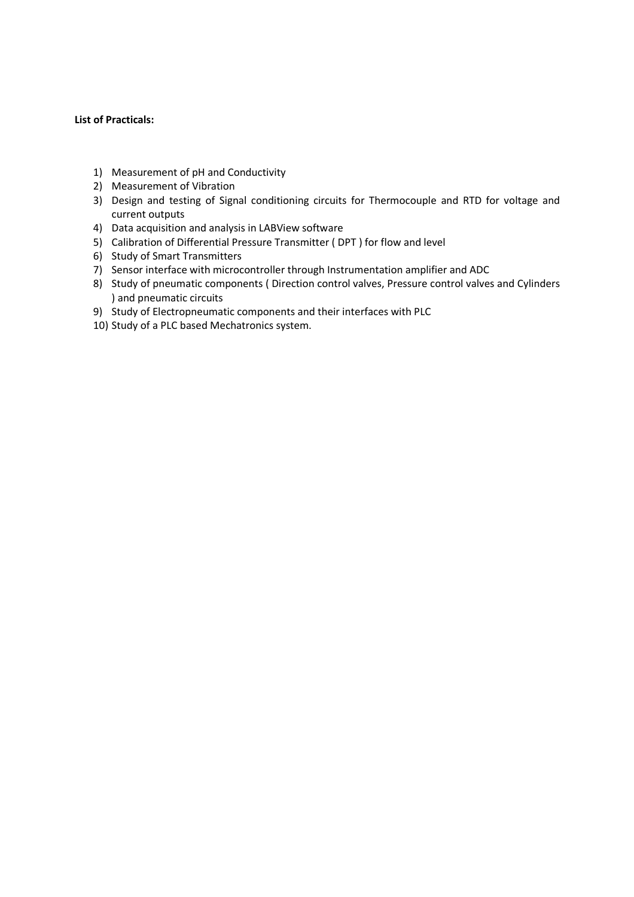## **List of Practicals:**

- 1) Measurement of pH and Conductivity
- 2) Measurement of Vibration
- 3) Design and testing of Signal conditioning circuits for Thermocouple and RTD for voltage and current outputs
- 4) Data acquisition and analysis in LABView software
- 5) Calibration of Differential Pressure Transmitter ( DPT ) for flow and level
- 6) Study of Smart Transmitters
- 7) Sensor interface with microcontroller through Instrumentation amplifier and ADC
- 8) Study of pneumatic components ( Direction control valves, Pressure control valves and Cylinders ) and pneumatic circuits
- 9) Study of Electropneumatic components and their interfaces with PLC
- 10) Study of a PLC based Mechatronics system.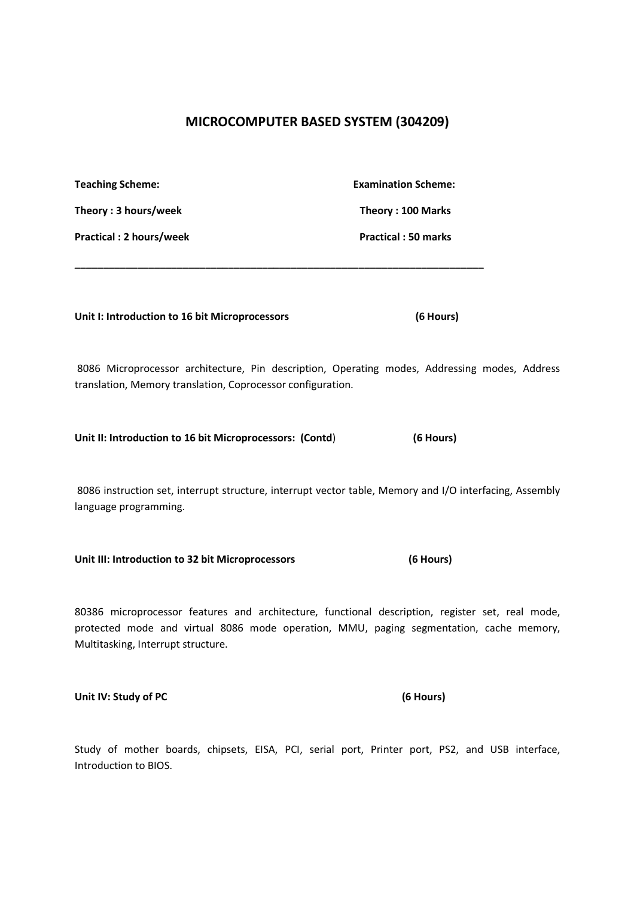# **MICROCOMPUTER BASED SYSTEM (304209)**

| <b>Teaching Scheme:</b>                                     | <b>Examination Scheme:</b>                                                                                                                                                                  |  |
|-------------------------------------------------------------|---------------------------------------------------------------------------------------------------------------------------------------------------------------------------------------------|--|
| Theory: 3 hours/week                                        | Theory: 100 Marks                                                                                                                                                                           |  |
| <b>Practical: 2 hours/week</b>                              | <b>Practical: 50 marks</b>                                                                                                                                                                  |  |
|                                                             |                                                                                                                                                                                             |  |
| Unit I: Introduction to 16 bit Microprocessors              | (6 Hours)                                                                                                                                                                                   |  |
| translation, Memory translation, Coprocessor configuration. | 8086 Microprocessor architecture, Pin description, Operating modes, Addressing modes, Address                                                                                               |  |
| Unit II: Introduction to 16 bit Microprocessors: (Contd)    | (6 Hours)                                                                                                                                                                                   |  |
| language programming.                                       | 8086 instruction set, interrupt structure, interrupt vector table, Memory and I/O interfacing, Assembly                                                                                     |  |
| Unit III: Introduction to 32 bit Microprocessors            | (6 Hours)                                                                                                                                                                                   |  |
| Multitasking, Interrupt structure.                          | 80386 microprocessor features and architecture, functional description, register set, real mode,<br>protected mode and virtual 8086 mode operation, MMU, paging segmentation, cache memory, |  |

**Unit IV: Study of PC (6 Hours)** 

Study of mother boards, chipsets, EISA, PCI, serial port, Printer port, PS2, and USB interface, Introduction to BIOS.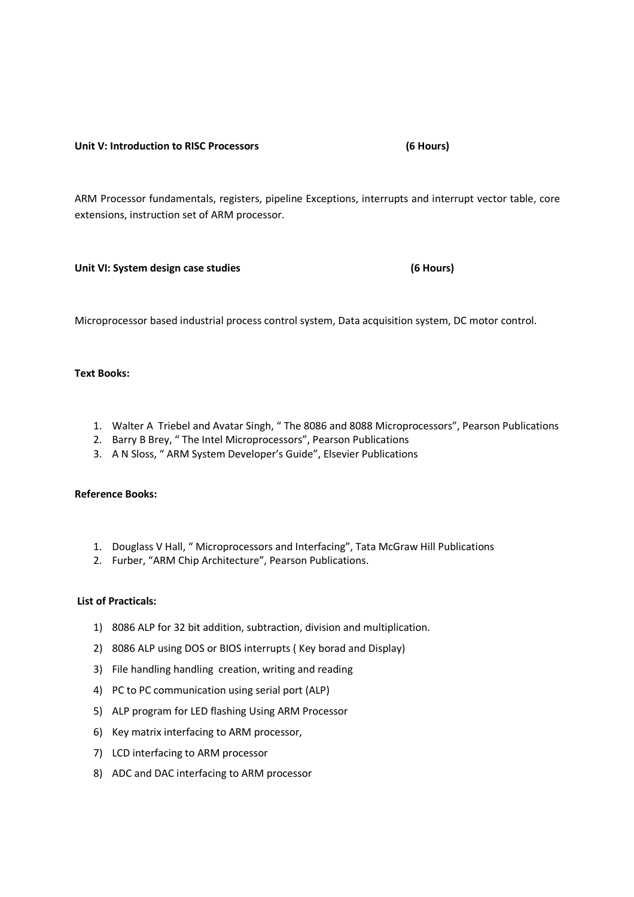#### **Unit V: Introduction to RISC Processors (6 Hours)**

ARM Processor fundamentals, registers, pipeline Exceptions, interrupts and interrupt vector table, core extensions, instruction set of ARM processor.

**Unit VI: System design case studies (6 Hours)** 

Microprocessor based industrial process control system, Data acquisition system, DC motor control.

### **Text Books:**

- 1. Walter A Triebel and Avatar Singh, " The 8086 and 8088 Microprocessors", Pearson Publications
- 2. Barry B Brey, " The Intel Microprocessors", Pearson Publications
- 3. A N Sloss, " ARM System Developer's Guide", Elsevier Publications

#### **Reference Books:**

- 1. Douglass V Hall, " Microprocessors and Interfacing", Tata McGraw Hill Publications
- 2. Furber, "ARM Chip Architecture", Pearson Publications.

## **List of Practicals:**

- 1) 8086 ALP for 32 bit addition, subtraction, division and multiplication.
- 2) 8086 ALP using DOS or BIOS interrupts ( Key borad and Display)
- 3) File handling handling creation, writing and reading
- 4) PC to PC communication using serial port (ALP)
- 5) ALP program for LED flashing Using ARM Processor
- 6) Key matrix interfacing to ARM processor,
- 7) LCD interfacing to ARM processor
- 8) ADC and DAC interfacing to ARM processor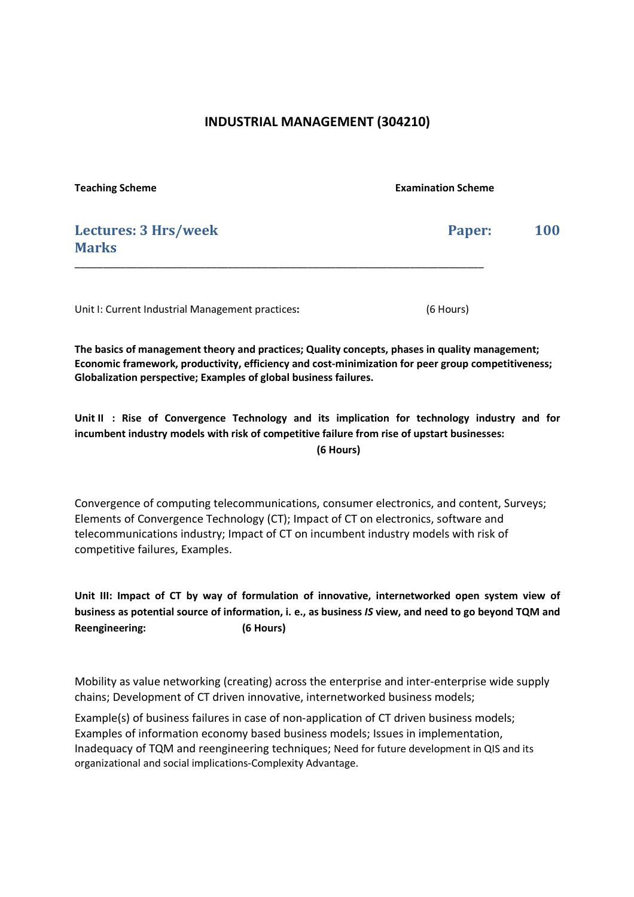# **INDUSTRIAL MANAGEMENT (304210)**

| <b>Teaching Scheme</b>                           | <b>Examination Scheme</b> |            |
|--------------------------------------------------|---------------------------|------------|
| Lectures: 3 Hrs/week<br><b>Marks</b>             | Paper:                    | <b>100</b> |
| Unit I: Current Industrial Management practices: | (6 Hours)                 |            |

**The basics of management theory and practices; Quality concepts, phases in quality management; Economic framework, productivity, efficiency and cost-minimization for peer group competitiveness; Globalization perspective; Examples of global business failures.** 

**Unit II : Rise of Convergence Technology and its implication for technology industry and for incumbent industry models with risk of competitive failure from rise of upstart businesses: (6 Hours)** 

Convergence of computing telecommunications, consumer electronics, and content, Surveys; Elements of Convergence Technology (CT); Impact of CT on electronics, software and telecommunications industry; Impact of CT on incumbent industry models with risk of competitive failures, Examples.

**Unit III: Impact of CT by way of formulation of innovative, internetworked open system view of business as potential source of information, i. e., as business** *IS* **view, and need to go beyond TQM and Reengineering: (6 Hours)**

Mobility as value networking (creating) across the enterprise and inter-enterprise wide supply chains; Development of CT driven innovative, internetworked business models;

Example(s) of business failures in case of non-application of CT driven business models; Examples of information economy based business models; Issues in implementation, Inadequacy of TQM and reengineering techniques; Need for future development in QIS and its organizational and social implications-Complexity Advantage.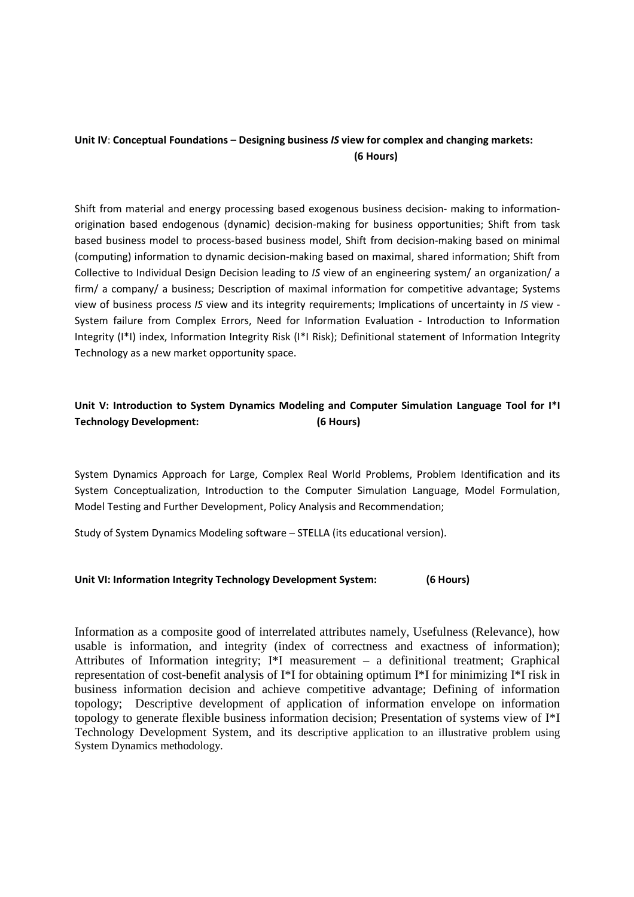# **Unit IV**: **Conceptual Foundations – Designing business** *IS* **view for complex and changing markets: (6 Hours)**

Shift from material and energy processing based exogenous business decision- making to informationorigination based endogenous (dynamic) decision-making for business opportunities; Shift from task based business model to process-based business model, Shift from decision-making based on minimal (computing) information to dynamic decision-making based on maximal, shared information; Shift from Collective to Individual Design Decision leading to *IS* view of an engineering system/ an organization/ a firm/ a company/ a business; Description of maximal information for competitive advantage; Systems view of business process *IS* view and its integrity requirements; Implications of uncertainty in *IS* view - System failure from Complex Errors, Need for Information Evaluation - Introduction to Information Integrity (I\*I) index, Information Integrity Risk (I\*I Risk); Definitional statement of Information Integrity Technology as a new market opportunity space.

# **Unit V: Introduction to System Dynamics Modeling and Computer Simulation Language Tool for I\*I Technology Development: (6 Hours)**

System Dynamics Approach for Large, Complex Real World Problems, Problem Identification and its System Conceptualization, Introduction to the Computer Simulation Language, Model Formulation, Model Testing and Further Development, Policy Analysis and Recommendation;

Study of System Dynamics Modeling software – STELLA (its educational version).

## **Unit VI: Information Integrity Technology Development System: (6 Hours)**

Information as a composite good of interrelated attributes namely, Usefulness (Relevance), how usable is information, and integrity (index of correctness and exactness of information); Attributes of Information integrity; I\*I measurement – a definitional treatment; Graphical representation of cost-benefit analysis of I\*I for obtaining optimum I\*I for minimizing I\*I risk in business information decision and achieve competitive advantage; Defining of information topology; Descriptive development of application of information envelope on information topology to generate flexible business information decision; Presentation of systems view of I\*I Technology Development System, and its descriptive application to an illustrative problem using System Dynamics methodology.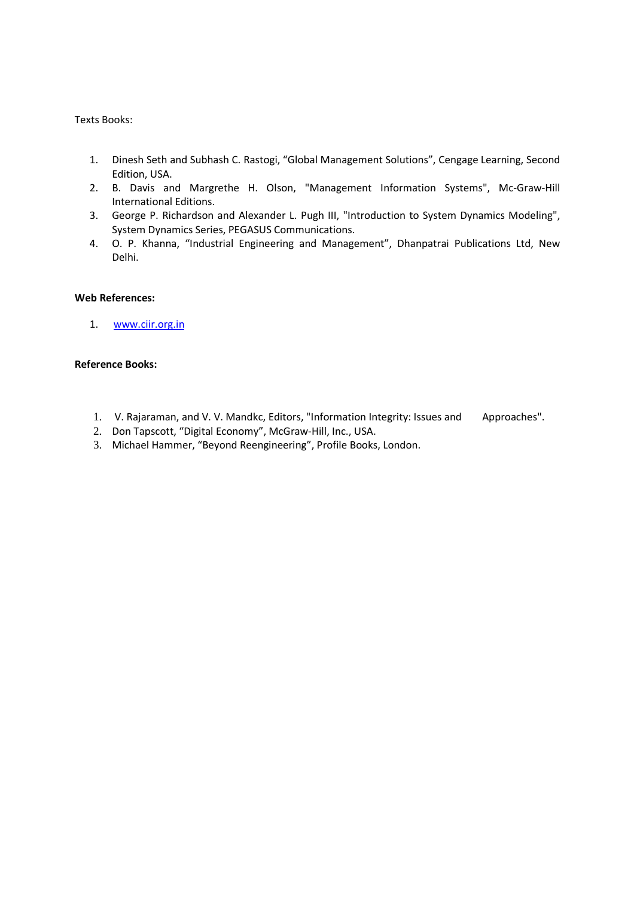#### Texts Books:

- 1. Dinesh Seth and Subhash C. Rastogi, "Global Management Solutions", Cengage Learning, Second Edition, USA.
- 2. B. Davis and Margrethe H. Olson, "Management Information Systems", Mc-Graw-Hill International Editions.
- 3. George P. Richardson and Alexander L. Pugh III, "Introduction to System Dynamics Modeling", System Dynamics Series, PEGASUS Communications.
- 4. O. P. Khanna, "Industrial Engineering and Management", Dhanpatrai Publications Ltd, New Delhi.

### **Web References:**

1. www.ciir.org.in

### **Reference Books:**

- 1. V. Rajaraman, and V. V. Mandkc, Editors, "Information Integrity: Issues and Approaches".
- 2. Don Tapscott, "Digital Economy", McGraw-Hill, Inc., USA.
- 3. Michael Hammer, "Beyond Reengineering", Profile Books, London.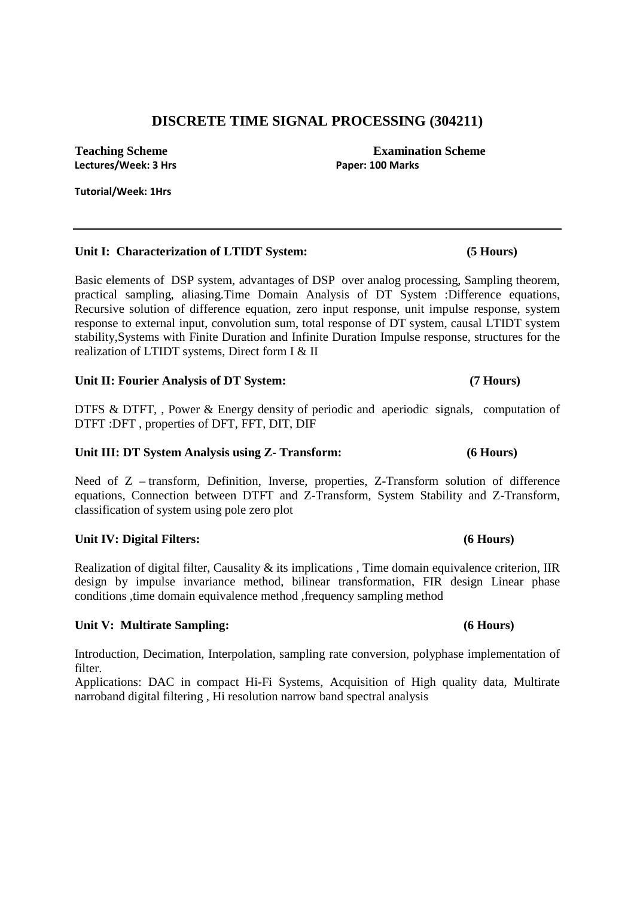# **DISCRETE TIME SIGNAL PROCESSING (304211)**

**Teaching Scheme Examination Scheme Examination Scheme** Lectures/Week: 3 Hrs **Paper: 100 Marks Paper: 100 Marks** 

**Tutorial/Week: 1Hrs** 

# **Unit I: Characterization of LTIDT System: (5 Hours)**

Basic elements of DSP system, advantages of DSP over analog processing, Sampling theorem, practical sampling, aliasing.Time Domain Analysis of DT System :Difference equations, Recursive solution of difference equation, zero input response, unit impulse response, system response to external input, convolution sum, total response of DT system, causal LTIDT system stability,Systems with Finite Duration and Infinite Duration Impulse response, structures for the realization of LTIDT systems, Direct form I & II

# Unit II: Fourier Analysis of DT System: (7 Hours)

DTFS & DTFT, , Power & Energy density of periodic and aperiodic signals, computation of DTFT :DFT , properties of DFT, FFT, DIT, DIF

# **Unit III: DT System Analysis using Z- Transform: (6 Hours)**

Need of Z – transform, Definition, Inverse, properties, Z-Transform solution of difference equations, Connection between DTFT and Z-Transform, System Stability and Z-Transform, classification of system using pole zero plot

# **Unit IV: Digital Filters: (6 Hours)**

Realization of digital filter, Causality & its implications , Time domain equivalence criterion, IIR design by impulse invariance method, bilinear transformation, FIR design Linear phase conditions ,time domain equivalence method ,frequency sampling method

# **Unit V: Multirate Sampling: (6 Hours)**

Introduction, Decimation, Interpolation, sampling rate conversion, polyphase implementation of filter.

Applications: DAC in compact Hi-Fi Systems, Acquisition of High quality data, Multirate narroband digital filtering , Hi resolution narrow band spectral analysis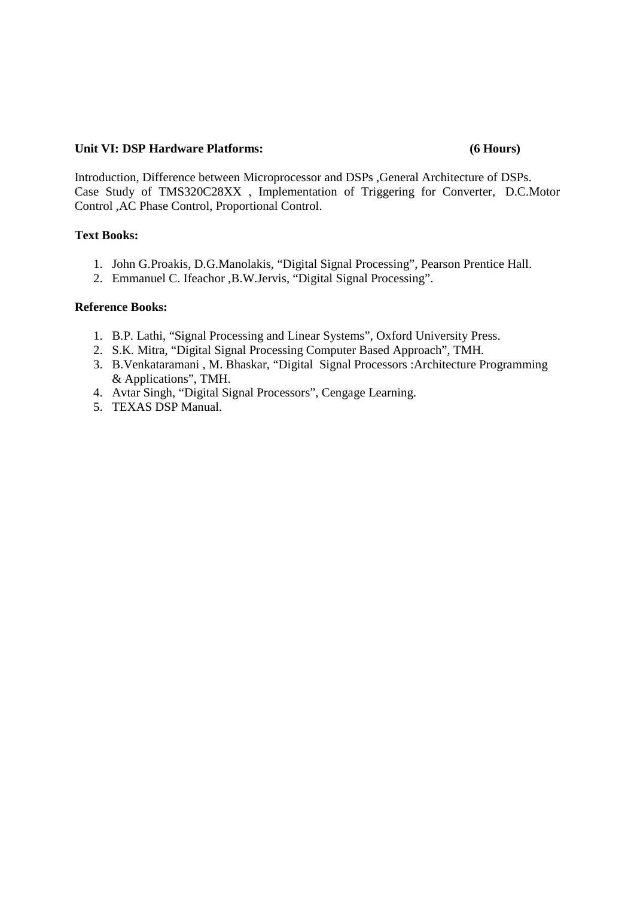# **Unit VI: DSP Hardware Platforms: (6 Hours)**

Introduction, Difference between Microprocessor and DSPs ,General Architecture of DSPs. Case Study of TMS320C28XX , Implementation of Triggering for Converter, D.C.Motor Control ,AC Phase Control, Proportional Control.

# **Text Books:**

- 1. John G.Proakis, D.G.Manolakis, "Digital Signal Processing", Pearson Prentice Hall.
- 2. Emmanuel C. Ifeachor ,B.W.Jervis, "Digital Signal Processing".

# **Reference Books:**

- 1. B.P. Lathi, "Signal Processing and Linear Systems", Oxford University Press.
- 2. S.K. Mitra, "Digital Signal Processing Computer Based Approach", TMH.
- 3. B.Venkataramani , M. Bhaskar, "Digital Signal Processors :Architecture Programming & Applications", TMH.
- 4. Avtar Singh, "Digital Signal Processors", Cengage Learning.
- 5. TEXAS DSP Manual.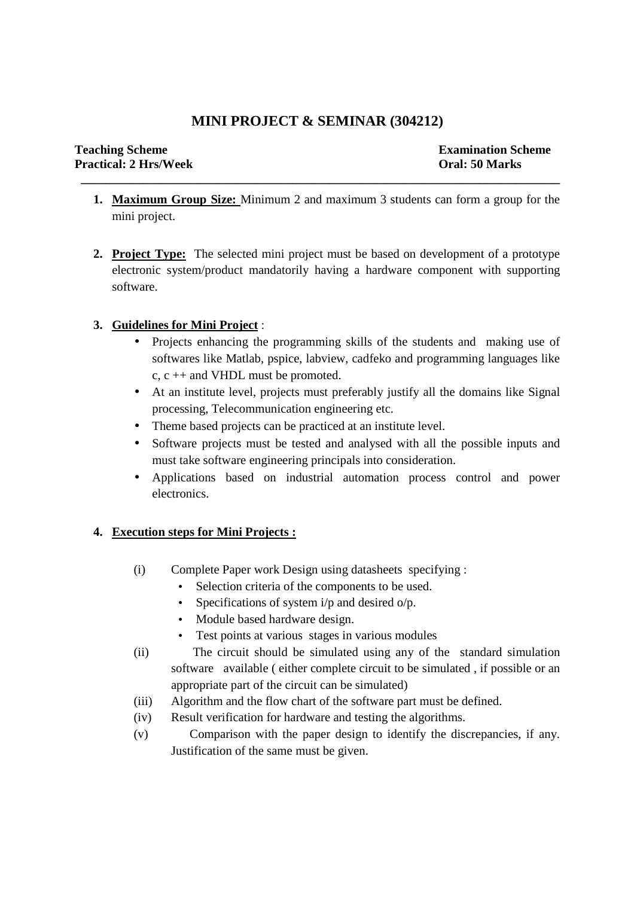# **MINI PROJECT & SEMINAR (304212)**

 **\_\_\_\_\_\_\_\_\_\_\_\_\_\_\_\_\_\_\_\_\_\_\_\_\_\_\_\_\_\_\_\_\_\_\_\_\_\_\_\_\_\_\_\_\_\_\_\_\_\_\_\_\_\_\_\_\_\_\_\_\_\_\_\_\_\_\_\_\_\_\_\_\_\_\_\_\_** 

- **1. Maximum Group Size:** Minimum 2 and maximum 3 students can form a group for the mini project.
- **2. Project Type:** The selected mini project must be based on development of a prototype electronic system/product mandatorily having a hardware component with supporting software.

# **3. Guidelines for Mini Project** :

- Projects enhancing the programming skills of the students and making use of softwares like Matlab, pspice, labview, cadfeko and programming languages like c, c ++ and VHDL must be promoted.
- At an institute level, projects must preferably justify all the domains like Signal processing, Telecommunication engineering etc.
- Theme based projects can be practiced at an institute level.
- Software projects must be tested and analysed with all the possible inputs and must take software engineering principals into consideration.
- Applications based on industrial automation process control and power electronics.

# **4. Execution steps for Mini Projects :**

- (i) Complete Paper work Design using datasheets specifying :
	- Selection criteria of the components to be used.
	- Specifications of system  $i/p$  and desired  $o/p$ .
	- Module based hardware design.
	- Test points at various stages in various modules
- (ii) The circuit should be simulated using any of the standard simulation software available ( either complete circuit to be simulated , if possible or an appropriate part of the circuit can be simulated)
- (iii) Algorithm and the flow chart of the software part must be defined.
- (iv) Result verification for hardware and testing the algorithms.
- (v) Comparison with the paper design to identify the discrepancies, if any. Justification of the same must be given.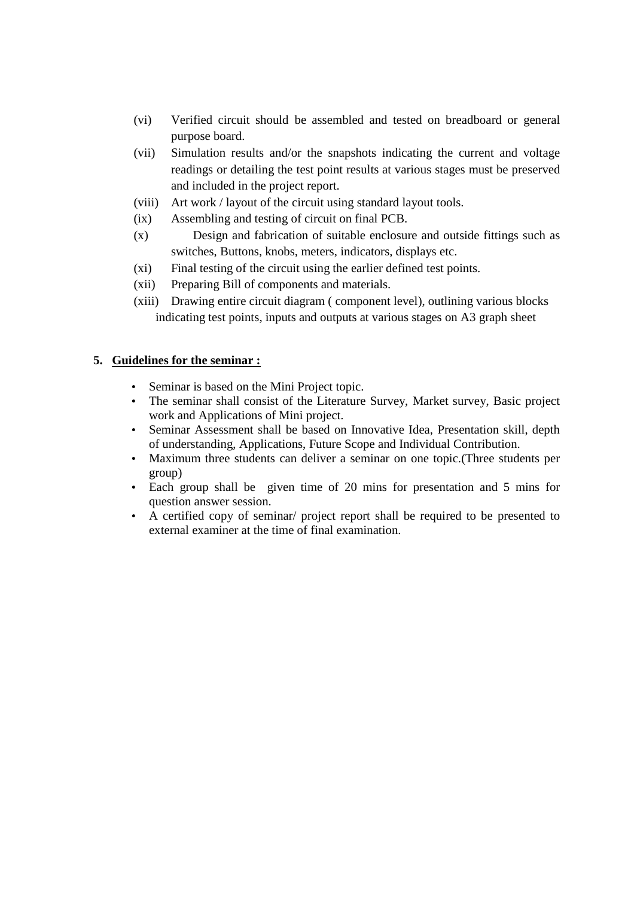- (vi) Verified circuit should be assembled and tested on breadboard or general purpose board.
- (vii) Simulation results and/or the snapshots indicating the current and voltage readings or detailing the test point results at various stages must be preserved and included in the project report.
- (viii) Art work / layout of the circuit using standard layout tools.
- (ix) Assembling and testing of circuit on final PCB.
- (x) Design and fabrication of suitable enclosure and outside fittings such as switches, Buttons, knobs, meters, indicators, displays etc.
- (xi) Final testing of the circuit using the earlier defined test points.
- (xii) Preparing Bill of components and materials.
- (xiii) Drawing entire circuit diagram ( component level), outlining various blocks indicating test points, inputs and outputs at various stages on A3 graph sheet

# **5. Guidelines for the seminar :**

- Seminar is based on the Mini Project topic.
- The seminar shall consist of the Literature Survey, Market survey, Basic project work and Applications of Mini project.
- Seminar Assessment shall be based on Innovative Idea, Presentation skill, depth of understanding, Applications, Future Scope and Individual Contribution.
- Maximum three students can deliver a seminar on one topic.(Three students per group)
- Each group shall be given time of 20 mins for presentation and 5 mins for question answer session.
- A certified copy of seminar/ project report shall be required to be presented to external examiner at the time of final examination.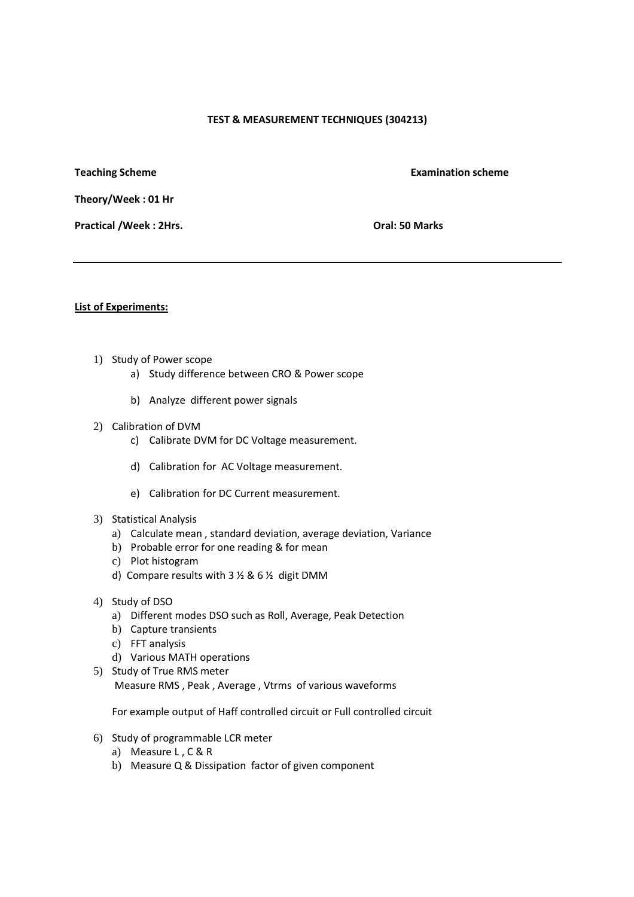#### **TEST & MEASUREMENT TECHNIQUES (304213)**

**Teaching Scheme <b>Examination** scheme **Examination** scheme

**Theory/Week : 01 Hr** 

Practical /Week : 2Hrs. **Dramachille 2Hrs.** Oral: 50 Marks

#### **List of Experiments:**

- 1) Study of Power scope
	- a) Study difference between CRO & Power scope
	- b) Analyze different power signals
- 2) Calibration of DVM
	- c) Calibrate DVM for DC Voltage measurement.
	- d) Calibration for AC Voltage measurement.
	- e) Calibration for DC Current measurement.
- 3) Statistical Analysis
	- a) Calculate mean , standard deviation, average deviation, Variance
	- b) Probable error for one reading & for mean
	- c) Plot histogram
	- d) Compare results with 3 ½ & 6 ½ digit DMM
- 4) Study of DSO
	- a) Different modes DSO such as Roll, Average, Peak Detection
	- b) Capture transients
	- c) FFT analysis
	- d) Various MATH operations
- 5) Study of True RMS meter Measure RMS , Peak , Average , Vtrms of various waveforms

For example output of Haff controlled circuit or Full controlled circuit

- 6) Study of programmable LCR meter
	- a) Measure L , C & R
	- b) Measure Q & Dissipation factor of given component